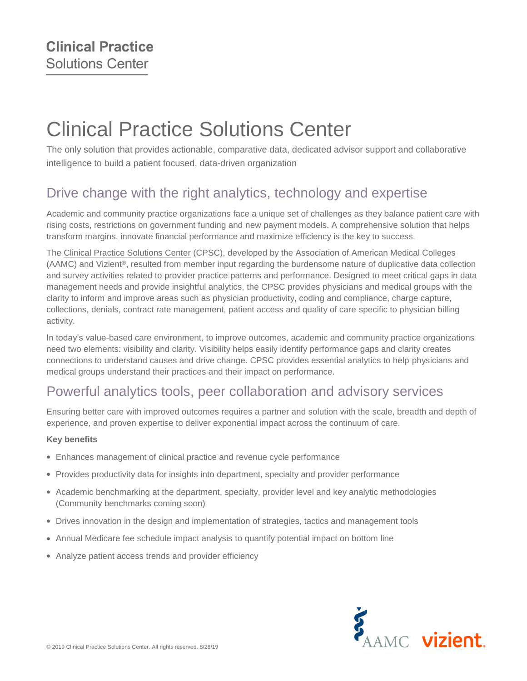# Clinical Practice Solutions Center

The only solution that provides actionable, comparative data, dedicated advisor support and collaborative intelligence to build a patient focused, data-driven organization

# Drive change with the right analytics, technology and expertise

Academic and community practice organizations face a unique set of challenges as they balance patient care with rising costs, restrictions on government funding and new payment models. A comprehensive solution that helps transform margins, innovate financial performance and maximize efficiency is the key to success.

The [Clinical Practice Solutions Center](https://www.clinicalpracticesolutionscenter.org/) (CPSC), developed by the Association of American Medical Colleges (AAMC) and Vizient®, resulted from member input regarding the burdensome nature of duplicative data collection and survey activities related to provider practice patterns and performance. Designed to meet critical gaps in data management needs and provide insightful analytics, the CPSC provides physicians and medical groups with the clarity to inform and improve areas such as physician productivity, coding and compliance, charge capture, collections, denials, contract rate management, patient access and quality of care specific to physician billing activity.

In today's value-based care environment, to improve outcomes, academic and community practice organizations need two elements: visibility and clarity. Visibility helps easily identify performance gaps and clarity creates connections to understand causes and drive change. CPSC provides essential analytics to help physicians and medical groups understand their practices and their impact on performance.

## Powerful analytics tools, peer collaboration and advisory services

Ensuring better care with improved outcomes requires a partner and solution with the scale, breadth and depth of experience, and proven expertise to deliver exponential impact across the continuum of care.

#### **Key benefits**

- Enhances management of clinical practice and revenue cycle performance
- Provides productivity data for insights into department, specialty and provider performance
- Academic benchmarking at the department, specialty, provider level and key analytic methodologies (Community benchmarks coming soon)
- Drives innovation in the design and implementation of strategies, tactics and management tools
- Annual Medicare fee schedule impact analysis to quantify potential impact on bottom line
- Analyze patient access trends and provider efficiency

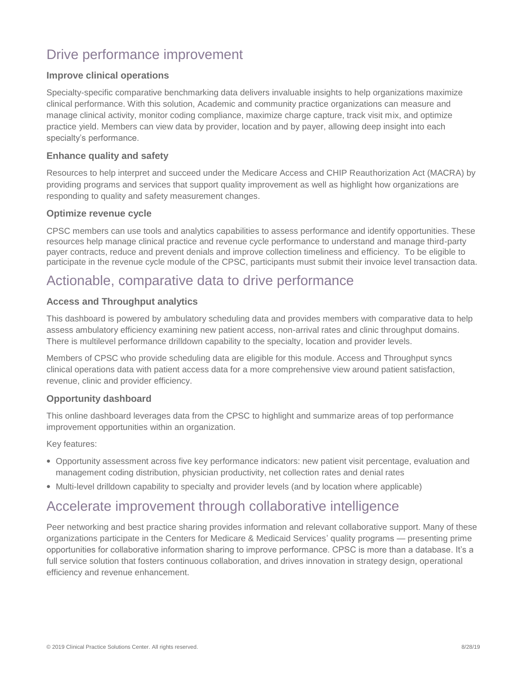# Drive performance improvement

#### **Improve clinical operations**

Specialty-specific comparative benchmarking data delivers invaluable insights to help organizations maximize clinical performance. With this solution, Academic and community practice organizations can measure and manage clinical activity, monitor coding compliance, maximize charge capture, track visit mix, and optimize practice yield. Members can view data by provider, location and by payer, allowing deep insight into each specialty's performance.

#### **Enhance quality and safety**

Resources to help interpret and succeed under the Medicare Access and CHIP Reauthorization Act (MACRA) by providing programs and services that support quality improvement as well as highlight how organizations are responding to quality and safety measurement changes.

#### **Optimize revenue cycle**

CPSC members can use tools and analytics capabilities to assess performance and identify opportunities. These resources help manage clinical practice and revenue cycle performance to understand and manage third-party payer contracts, reduce and prevent denials and improve collection timeliness and efficiency. To be eligible to participate in the revenue cycle module of the CPSC, participants must submit their invoice level transaction data.

### Actionable, comparative data to drive performance

#### **Access and Throughput analytics**

This dashboard is powered by ambulatory scheduling data and provides members with comparative data to help assess ambulatory efficiency examining new patient access, non-arrival rates and clinic throughput domains. There is multilevel performance drilldown capability to the specialty, location and provider levels.

Members of CPSC who provide scheduling data are eligible for this module. Access and Throughput syncs clinical operations data with patient access data for a more comprehensive view around patient satisfaction, revenue, clinic and provider efficiency.

#### **Opportunity dashboard**

This online dashboard leverages data from the CPSC to highlight and summarize areas of top performance improvement opportunities within an organization.

Key features:

- Opportunity assessment across five key performance indicators: new patient visit percentage, evaluation and management coding distribution, physician productivity, net collection rates and denial rates
- Multi-level drilldown capability to specialty and provider levels (and by location where applicable)

### Accelerate improvement through collaborative intelligence

Peer networking and best practice sharing provides information and relevant collaborative support. Many of these organizations participate in the Centers for Medicare & Medicaid Services' quality programs — presenting prime opportunities for collaborative information sharing to improve performance. CPSC is more than a database. It's a full service solution that fosters continuous collaboration, and drives innovation in strategy design, operational efficiency and revenue enhancement.